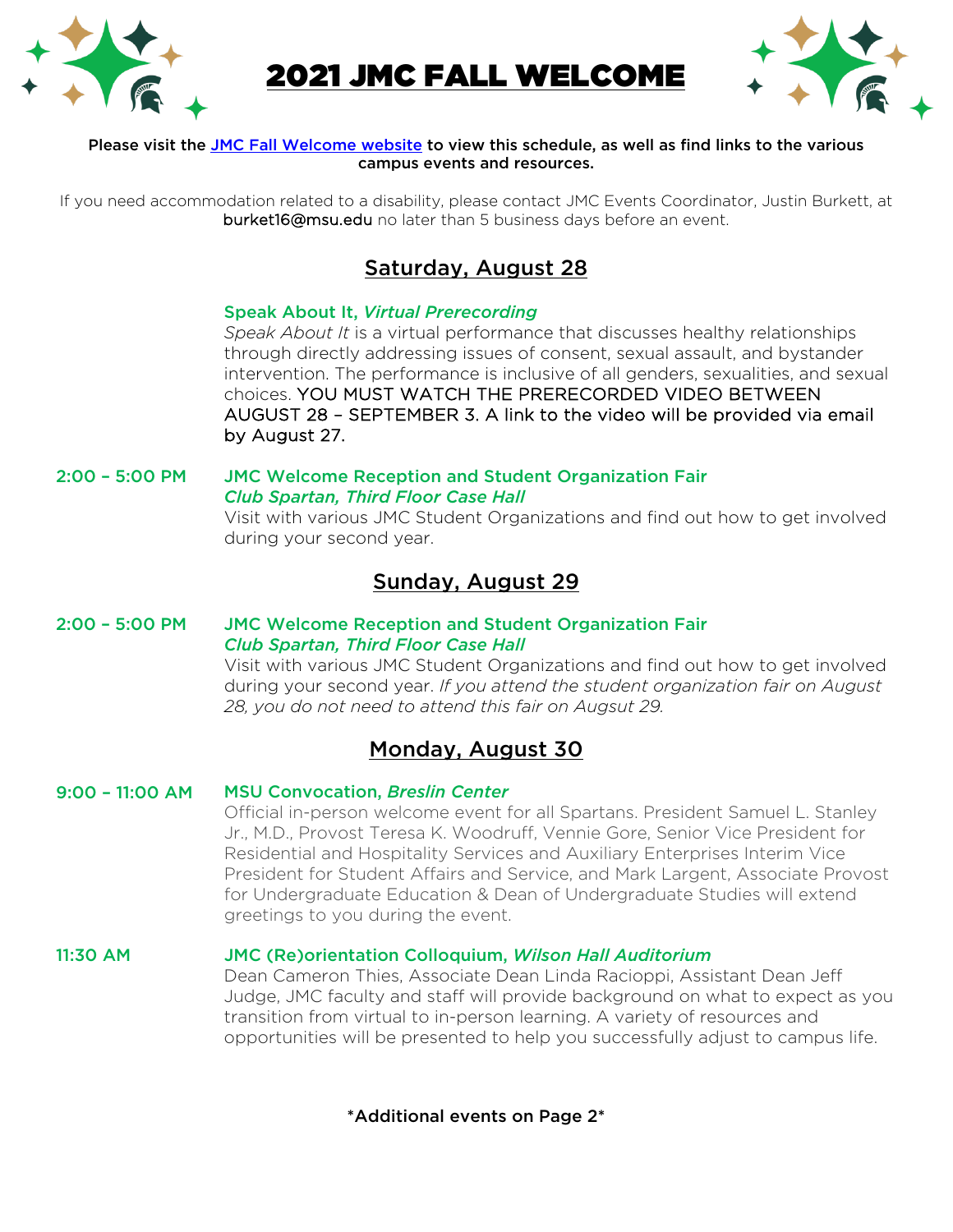

2021 JMC FALL WELCOME



#### Please visit the [JMC Fall Welcome](https://jmc.msu.edu/current-students/academics/jmc-fall-welcome.html) website to view this schedule, as well as find links to the various campus events and resources.

If you need accommodation related to a disability, please contact JMC Events Coordinator, Justin Burkett, at burket16@msu.edu no later than 5 business days before an event.

# Saturday, August 28

### Speak About It, *Virtual Prerecording*

*Speak About It* is a virtual performance that discusses healthy relationships through directly addressing issues of consent, sexual assault, and bystander intervention. The performance is inclusive of all genders, sexualities, and sexual choices. YOU MUST WATCH THE PRERECORDED VIDEO BETWEEN AUGUST 28 – SEPTEMBER 3. A link to the video will be provided via email by August 27.

### 2:00 – 5:00 PM JMC Welcome Reception and Student Organization Fair *Club Spartan, Third Floor Case Hall*

Visit with various JMC Student Organizations and find out how to get involved during your second year.

## Sunday, August 29

#### 2:00 – 5:00 PM JMC Welcome Reception and Student Organization Fair *Club Spartan, Third Floor Case Hall*

Visit with various JMC Student Organizations and find out how to get involved during your second year. *If you attend the student organization fair on August 28, you do not need to attend this fair on Augsut 29.*

## Monday, August 30

#### 9:00 – 11:00 AM MSU Convocation, *Breslin Center*

Official in-person welcome event for all Spartans. President Samuel L. Stanley Jr., M.D., Provost Teresa K. Woodruff, Vennie Gore, Senior Vice President for Residential and Hospitality Services and Auxiliary Enterprises Interim Vice President for Student Affairs and Service, and Mark Largent, Associate Provost for Undergraduate Education & Dean of Undergraduate Studies will extend greetings to you during the event.

### 11:30 AM JMC (Re)orientation Colloquium, *Wilson Hall Auditorium*

Dean Cameron Thies, Associate Dean Linda Racioppi, Assistant Dean Jeff Judge, JMC faculty and staff will provide background on what to expect as you transition from virtual to in-person learning. A variety of resources and opportunities will be presented to help you successfully adjust to campus life.

\*Additional events on Page 2\*